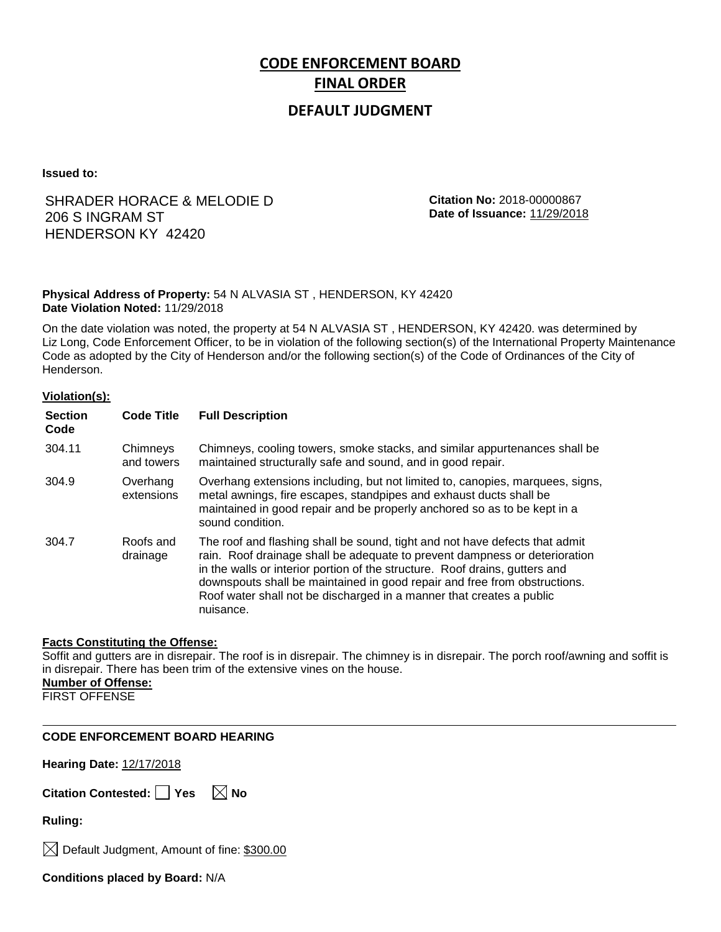# **CODE ENFORCEMENT BOARD FINAL ORDER**

# **DEFAULT JUDGMENT**

**Issued to:**

# SHRADER HORACE & MELODIE D 206 S INGRAM ST HENDERSON KY 42420

**Citation No:** 2018-00000867 **Date of Issuance:** 11/29/2018

## **Physical Address of Property:** 54 N ALVASIA ST , HENDERSON, KY 42420 **Date Violation Noted:** 11/29/2018

On the date violation was noted, the property at 54 N ALVASIA ST , HENDERSON, KY 42420. was determined by Liz Long, Code Enforcement Officer, to be in violation of the following section(s) of the International Property Maintenance Code as adopted by the City of Henderson and/or the following section(s) of the Code of Ordinances of the City of Henderson.

### **Violation(s):**

| <b>Section</b><br>Code | <b>Code Title</b>      | <b>Full Description</b>                                                                                                                                                                                                                                                                                                                                                                                    |
|------------------------|------------------------|------------------------------------------------------------------------------------------------------------------------------------------------------------------------------------------------------------------------------------------------------------------------------------------------------------------------------------------------------------------------------------------------------------|
| 304.11                 | Chimneys<br>and towers | Chimneys, cooling towers, smoke stacks, and similar appurtenances shall be<br>maintained structurally safe and sound, and in good repair.                                                                                                                                                                                                                                                                  |
| 304.9                  | Overhang<br>extensions | Overhang extensions including, but not limited to, canopies, marquees, signs,<br>metal awnings, fire escapes, standpipes and exhaust ducts shall be<br>maintained in good repair and be properly anchored so as to be kept in a<br>sound condition.                                                                                                                                                        |
| 304.7                  | Roofs and<br>drainage  | The roof and flashing shall be sound, tight and not have defects that admit<br>rain. Roof drainage shall be adequate to prevent dampness or deterioration<br>in the walls or interior portion of the structure. Roof drains, gutters and<br>downspouts shall be maintained in good repair and free from obstructions.<br>Roof water shall not be discharged in a manner that creates a public<br>nuisance. |

### **Facts Constituting the Offense:**

Soffit and gutters are in disrepair. The roof is in disrepair. The chimney is in disrepair. The porch roof/awning and soffit is in disrepair. There has been trim of the extensive vines on the house. **Number of Offense:**

FIRST OFFENSE

**Hearing Date:** 12/17/2018

| Citation Contested: Yes |  | $\boxtimes$ No |
|-------------------------|--|----------------|
|-------------------------|--|----------------|

**Ruling:**

 $\boxtimes$  Default Judgment, Amount of fine: \$300.00

**Conditions placed by Board:** N/A